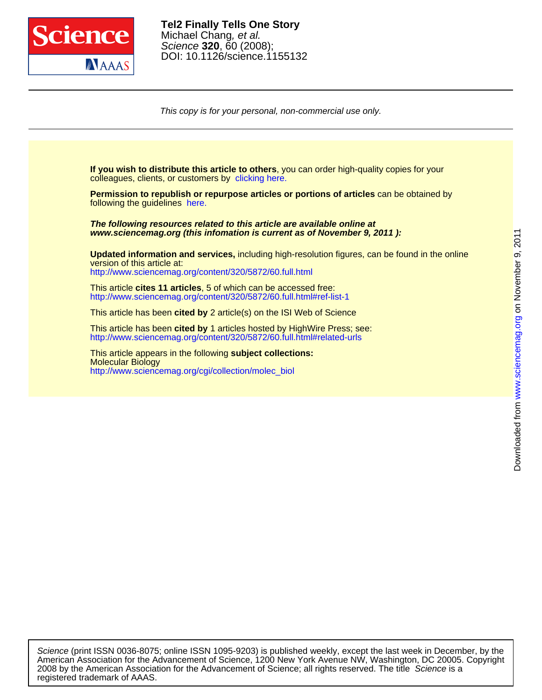

DOI: 10.1126/science.1155132 Science **320**, 60 (2008); Michael Chang, et al. **Tel2 Finally Tells One Story**

This copy is for your personal, non-commercial use only.

colleagues, clients, or customers by [clicking here.](http://www.sciencemag.org/about/permissions.dtl) **If you wish to distribute this article to others**, you can order high-quality copies for your

following the guidelines [here.](http://www.sciencemag.org/about/permissions.dtl) **Permission to republish or repurpose articles or portions of articles** can be obtained by

**www.sciencemag.org (this infomation is current as of November 9, 2011 ): The following resources related to this article are available online at**

<http://www.sciencemag.org/content/320/5872/60.full.html> version of this article at: **Updated information and services,** including high-resolution figures, can be found in the online

<http://www.sciencemag.org/content/320/5872/60.full.html#ref-list-1> This article **cites 11 articles**, 5 of which can be accessed free:

This article has been **cited by** 2 article(s) on the ISI Web of Science

<http://www.sciencemag.org/content/320/5872/60.full.html#related-urls> This article has been **cited by** 1 articles hosted by HighWire Press; see:

[http://www.sciencemag.org/cgi/collection/molec\\_biol](http://www.sciencemag.org/cgi/collection/molec_biol) Molecular Biology This article appears in the following **subject collections:**

registered trademark of AAAS. 2008 by the American Association for the Advancement of Science; all rights reserved. The title Science is a American Association for the Advancement of Science, 1200 New York Avenue NW, Washington, DC 20005. Copyright Science (print ISSN 0036-8075; online ISSN 1095-9203) is published weekly, except the last week in December, by the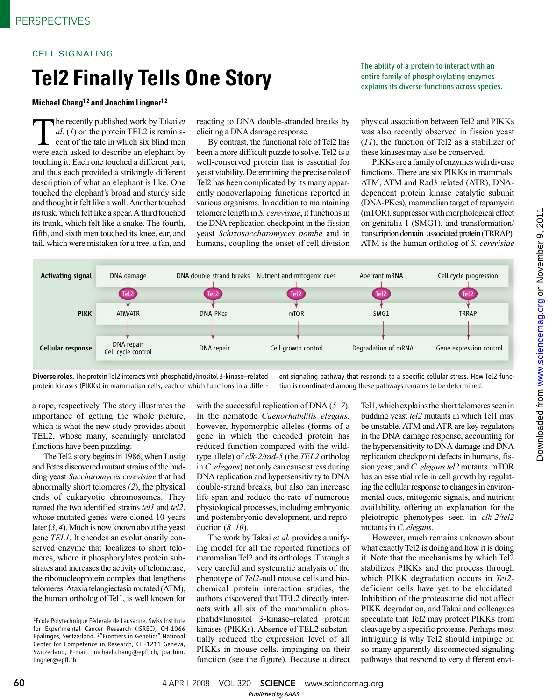## CELL SIGNALING

## **Tel2 Finally Tells One Story** entire family of phosphorylating enzymes **in the substant of**  $P$  **and**  $P$  **and**  $P$  **and**  $P$  **explains its diverse functions across species.**

## **Michael Chang1,2 and Joachim Lingner1,2**

The recently published work by Takai *et al.* (*1*) on the protein TEL2 is reminiscent of the tale in which six blind men were each asked to describe an elephant by he recently published work by Takai *et al*. (*1*) on the protein TEL2 is reminiscent of the tale in which six blind men touching it. Each one touched a different part, and thus each provided a strikingly different description of what an elephant is like. One touched the elephant's broad and sturdy side and thought it felt like a wall. Another touched its tusk, which felt like a spear. A third touched its trunk, which felt like a snake. The fourth, fifth, and sixth men touched its knee, ear, and tail, which were mistaken for a tree, a fan, and

reacting to DNA double-stranded breaks by eliciting a DNA damage response.

By contrast, the functional role of Tel2 has been a more difficult puzzle to solve. Tel2 is a well-conserved protein that is essential for yeast viability. Determining the precise role of Tel2 has been complicated by its many apparently nonoverlapping functions reported in various organisms. In addition to maintaining telomere length in *S. cerevisiae*, it functions in the DNA replication checkpoint in the fission yeast *Schizosaccharomyces pombe* and in humans, coupling the onset of cell division

The ability of a protein to interact with an

physical association between Tel2 and PIKKs was also recently observed in fission yeast (*11*), the function of Tel2 as a stabilizer of these kinases may also be conserved.

PIKKs are a family of enzymes with diverse functions. There are six PIKKs in mammals: ATM, ATM and Rad3 related (ATR), DNAdependent protein kinase catalytic subunit (DNA-PKcs), mammalian target of rapamycin (mTOR), suppressor with morphological effect on genitalia 1 (SMG1), and transformation/ transcription domain–associated protein (TRRAP). ATM is the human ortholog of *S. cerevisiae*



Diverse roles. The protein Tel2 interacts with phosphatidylinositol 3-kinase-related protein kinases (PIKKs) in mammalian cells, each of which functions in a differ-

ent signaling pathway that responds to a specific cellular stress. How Tel2 function is coordinated among these pathways remains to be determined.

a rope, respectively. The story illustrates the importance of getting the whole picture, which is what the new study provides about TEL2, whose many, seemingly unrelated functions have been puzzling.

The Tel2 story begins in 1986, when Lustig and Petes discovered mutant strains of the budding yeast *Saccharomyces cerevisiae* that had abnormally short telomeres (*2*), the physical ends of eukaryotic chromosomes. They named the two identified strains *tel1* and *tel2*, whose mutated genes were cloned 10 years later (*3*, *4*). Much is now known about the yeast gene *TEL1*. It encodes an evolutionarily conserved enzyme that localizes to short telomeres, where it phosphorylates protein substrates and increases the activity of telomerase, the ribonucleoprotein complex that lengthens telomeres. Ataxia telangiectasia mutated (ATM), the human ortholog of Tel1, is well known for

with the successful replication of DNA (*5*–*7*). In the nematode *Caenorhabditis elegans*, however, hypomorphic alleles (forms of a gene in which the encoded protein has reduced function compared with the wildtype allele) of *clk-2/rad-5* (the *TEL2* ortholog in *C. elegans*) not only can cause stress during DNA replication and hypersensitivity to DNA double-strand breaks, but also can increase life span and reduce the rate of numerous physiological processes, including embryonic and postembryonic development, and reproduction (*8*–*10*).

The work by Takai *et al.* provides a unifying model for all the reported functions of mammalian Tel2 and its orthologs. Through a very careful and systematic analysis of the phenotype of *Tel2*-null mouse cells and biochemical protein interaction studies, the authors discovered that TEL2 directly interacts with all six of the mammalian phosphatidylinositol 3-kinase–related protein kinases (PIKKs). Absence of TEL2 substantially reduced the expression level of all PIKKs in mouse cells, impinging on their function (see the figure). Because a direct Tel1, which explains the short telomeres seen in budding yeast *tel2* mutants in which Tel1 may be unstable. ATM and ATR are key regulators in the DNA damage response, accounting for the hypersensitivity to DNA damage and DNA replication checkpoint defects in humans, fission yeast, and *C. elegans tel2* mutants. mTOR has an essential role in cell growth by regulating the cellular response to changes in environmental cues, mitogenic signals, and nutrient availability, offering an explanation for the pleiotropic phenotypes seen in *clk-2/tel2* mutants in *C. elegans*.

However, much remains unknown about what exactly Tel2 is doing and how it is doing it. Note that the mechanisms by which Tel2 stabilizes PIKKs and the process through which PIKK degradation occurs in *Tel2* deficient cells have yet to be elucidated. Inhibition of the proteasome did not affect PIKK degradation, and Takai and colleagues speculate that Tel2 may protect PIKKs from cleavage by a specific protease. Perhaps most intriguing is why Tel2 should impinge on so many apparently disconnected signaling pathways that respond to very different envi-

<sup>&</sup>lt;sup>1</sup>Ecole Polytechnique Fédérale de Lausanne, Swiss Institute for Experimental Cancer Research (ISREC), CH-1066 Epalinges, Switzerland. <sup>2</sup>"Frontiers in Genetics" National Center for Competence in Research, CH-1211 Geneva, Switzerland, E-mail: michael.chang@epfl.ch, joachim. lingner@epfl.ch